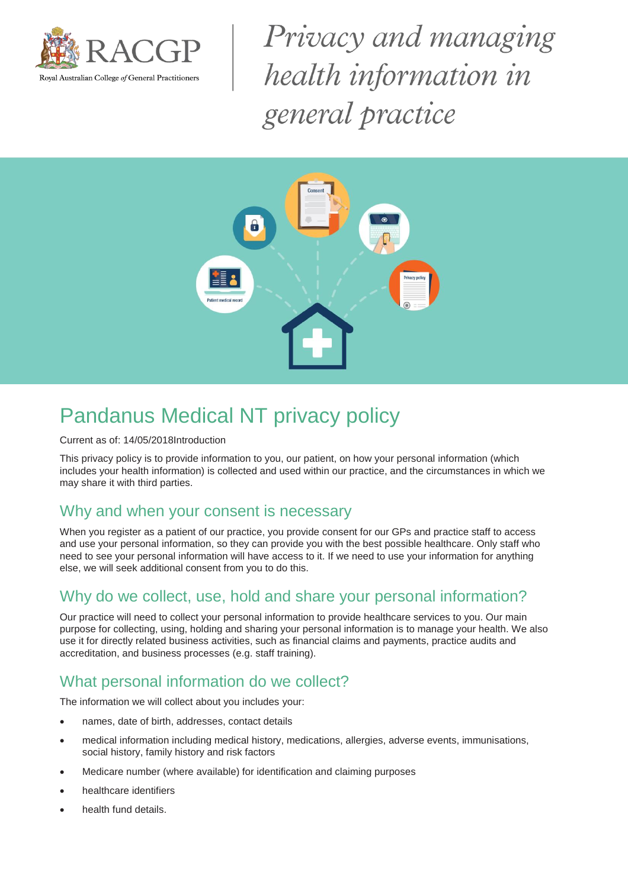

Privacy and managing health information in general practice



# Pandanus Medical NT privacy policy

#### Current as of: 14/05/2018Introduction

This privacy policy is to provide information to you, our patient, on how your personal information (which includes your health information) is collected and used within our practice, and the circumstances in which we may share it with third parties.

### Why and when your consent is necessary

When you register as a patient of our practice, you provide consent for our GPs and practice staff to access and use your personal information, so they can provide you with the best possible healthcare. Only staff who need to see your personal information will have access to it. If we need to use your information for anything else, we will seek additional consent from you to do this.

# Why do we collect, use, hold and share your personal information?

Our practice will need to collect your personal information to provide healthcare services to you. Our main purpose for collecting, using, holding and sharing your personal information is to manage your health. We also use it for directly related business activities, such as financial claims and payments, practice audits and accreditation, and business processes (e.g. staff training).

#### What personal information do we collect?

The information we will collect about you includes your:

- names, date of birth, addresses, contact details
- medical information including medical history, medications, allergies, adverse events, immunisations, social history, family history and risk factors
- Medicare number (where available) for identification and claiming purposes
- healthcare identifiers
- health fund details.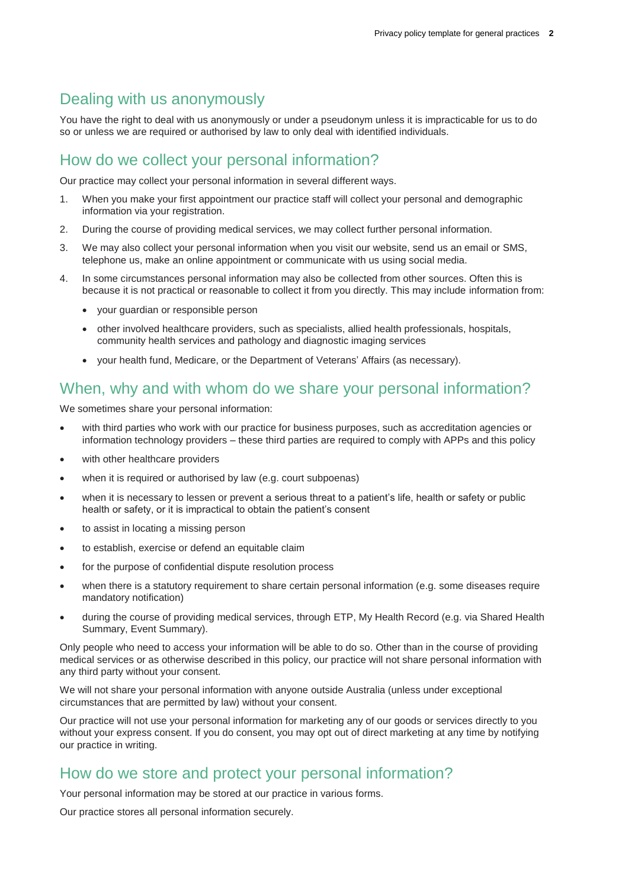### Dealing with us anonymously

You have the right to deal with us anonymously or under a pseudonym unless it is impracticable for us to do so or unless we are required or authorised by law to only deal with identified individuals.

#### How do we collect your personal information?

Our practice may collect your personal information in several different ways.

- 1. When you make your first appointment our practice staff will collect your personal and demographic information via your registration.
- 2. During the course of providing medical services, we may collect further personal information.
- 3. We may also collect your personal information when you visit our website, send us an email or SMS, telephone us, make an online appointment or communicate with us using social media.
- 4. In some circumstances personal information may also be collected from other sources. Often this is because it is not practical or reasonable to collect it from you directly. This may include information from:
	- your guardian or responsible person
	- other involved healthcare providers, such as specialists, allied health professionals, hospitals, community health services and pathology and diagnostic imaging services
	- your health fund, Medicare, or the Department of Veterans' Affairs (as necessary).

### When, why and with whom do we share your personal information?

We sometimes share your personal information:

- with third parties who work with our practice for business purposes, such as accreditation agencies or information technology providers – these third parties are required to comply with APPs and this policy
- with other healthcare providers
- when it is required or authorised by law (e.g. court subpoenas)
- when it is necessary to lessen or prevent a serious threat to a patient's life, health or safety or public health or safety, or it is impractical to obtain the patient's consent
- to assist in locating a missing person
- to establish, exercise or defend an equitable claim
- for the purpose of confidential dispute resolution process
- when there is a statutory requirement to share certain personal information (e.g. some diseases require mandatory notification)
- during the course of providing medical services, through ETP, My Health Record (e.g. via Shared Health Summary, Event Summary).

Only people who need to access your information will be able to do so. Other than in the course of providing medical services or as otherwise described in this policy, our practice will not share personal information with any third party without your consent.

We will not share your personal information with anyone outside Australia (unless under exceptional circumstances that are permitted by law) without your consent.

Our practice will not use your personal information for marketing any of our goods or services directly to you without your express consent. If you do consent, you may opt out of direct marketing at any time by notifying our practice in writing.

# How do we store and protect your personal information?

Your personal information may be stored at our practice in various forms.

Our practice stores all personal information securely.